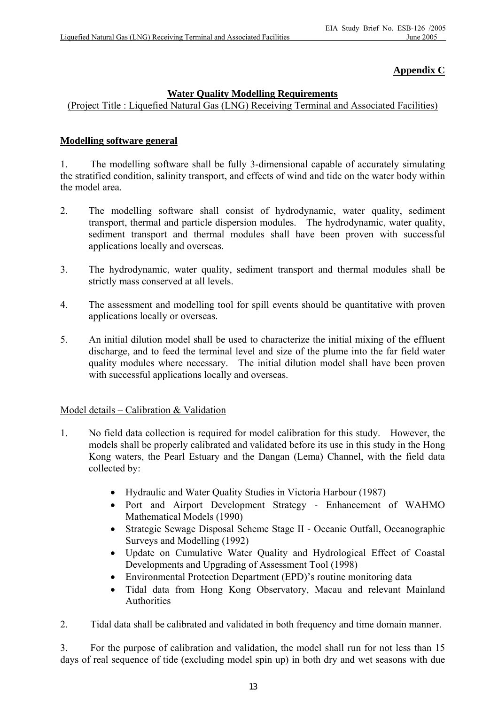# **Appendix C**

### **Water Quality Modelling Requirements**

(Project Title : Liquefied Natural Gas (LNG) Receiving Terminal and Associated Facilities)

### **Modelling software general**

1. The modelling software shall be fully 3-dimensional capable of accurately simulating the stratified condition, salinity transport, and effects of wind and tide on the water body within the model area.

- 2. The modelling software shall consist of hydrodynamic, water quality, sediment transport, thermal and particle dispersion modules. The hydrodynamic, water quality, sediment transport and thermal modules shall have been proven with successful applications locally and overseas.
- 3. The hydrodynamic, water quality, sediment transport and thermal modules shall be strictly mass conserved at all levels.
- 4. The assessment and modelling tool for spill events should be quantitative with proven applications locally or overseas.
- 5. An initial dilution model shall be used to characterize the initial mixing of the effluent discharge, and to feed the terminal level and size of the plume into the far field water quality modules where necessary. The initial dilution model shall have been proven with successful applications locally and overseas.

## Model details – Calibration & Validation

- 1. No field data collection is required for model calibration for this study. However, the models shall be properly calibrated and validated before its use in this study in the Hong Kong waters, the Pearl Estuary and the Dangan (Lema) Channel, with the field data collected by:
	- Hydraulic and Water Quality Studies in Victoria Harbour (1987)
	- Port and Airport Development Strategy Enhancement of WAHMO Mathematical Models (1990)
	- Strategic Sewage Disposal Scheme Stage II Oceanic Outfall, Oceanographic Surveys and Modelling (1992)
	- Update on Cumulative Water Quality and Hydrological Effect of Coastal Developments and Upgrading of Assessment Tool (1998)
	- Environmental Protection Department (EPD)'s routine monitoring data
	- Tidal data from Hong Kong Observatory, Macau and relevant Mainland Authorities
- 2. Tidal data shall be calibrated and validated in both frequency and time domain manner.

3. For the purpose of calibration and validation, the model shall run for not less than 15 days of real sequence of tide (excluding model spin up) in both dry and wet seasons with due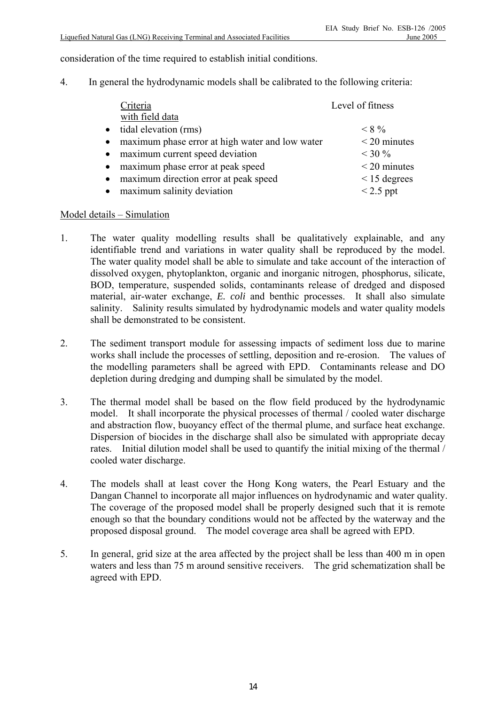consideration of the time required to establish initial conditions.

4. In general the hydrodynamic models shall be calibrated to the following criteria:

| Criteria                                                     | Level of fitness  |
|--------------------------------------------------------------|-------------------|
| with field data                                              |                   |
| tidal elevation (rms)<br>$\bullet$                           | $< 8\%$           |
| maximum phase error at high water and low water<br>$\bullet$ | $<$ 20 minutes    |
| maximum current speed deviation<br>$\bullet$                 | $<$ 30 %          |
| maximum phase error at peak speed<br>$\bullet$               | $<$ 20 minutes    |
| maximum direction error at peak speed<br>$\bullet$           | $\leq$ 15 degrees |
| maximum salinity deviation<br>$\bullet$                      | $< 2.5$ ppt       |

### Model details – Simulation

- 1. The water quality modelling results shall be qualitatively explainable, and any identifiable trend and variations in water quality shall be reproduced by the model. The water quality model shall be able to simulate and take account of the interaction of dissolved oxygen, phytoplankton, organic and inorganic nitrogen, phosphorus, silicate, BOD, temperature, suspended solids, contaminants release of dredged and disposed material, air-water exchange, *E. coli* and benthic processes. It shall also simulate salinity. Salinity results simulated by hydrodynamic models and water quality models shall be demonstrated to be consistent.
- 2. The sediment transport module for assessing impacts of sediment loss due to marine works shall include the processes of settling, deposition and re-erosion. The values of the modelling parameters shall be agreed with EPD. Contaminants release and DO depletion during dredging and dumping shall be simulated by the model.
- 3. The thermal model shall be based on the flow field produced by the hydrodynamic model. It shall incorporate the physical processes of thermal / cooled water discharge and abstraction flow, buoyancy effect of the thermal plume, and surface heat exchange. Dispersion of biocides in the discharge shall also be simulated with appropriate decay rates. Initial dilution model shall be used to quantify the initial mixing of the thermal / cooled water discharge.
- 4. The models shall at least cover the Hong Kong waters, the Pearl Estuary and the Dangan Channel to incorporate all major influences on hydrodynamic and water quality. The coverage of the proposed model shall be properly designed such that it is remote enough so that the boundary conditions would not be affected by the waterway and the proposed disposal ground. The model coverage area shall be agreed with EPD.
- 5. In general, grid size at the area affected by the project shall be less than 400 m in open waters and less than 75 m around sensitive receivers. The grid schematization shall be agreed with EPD.